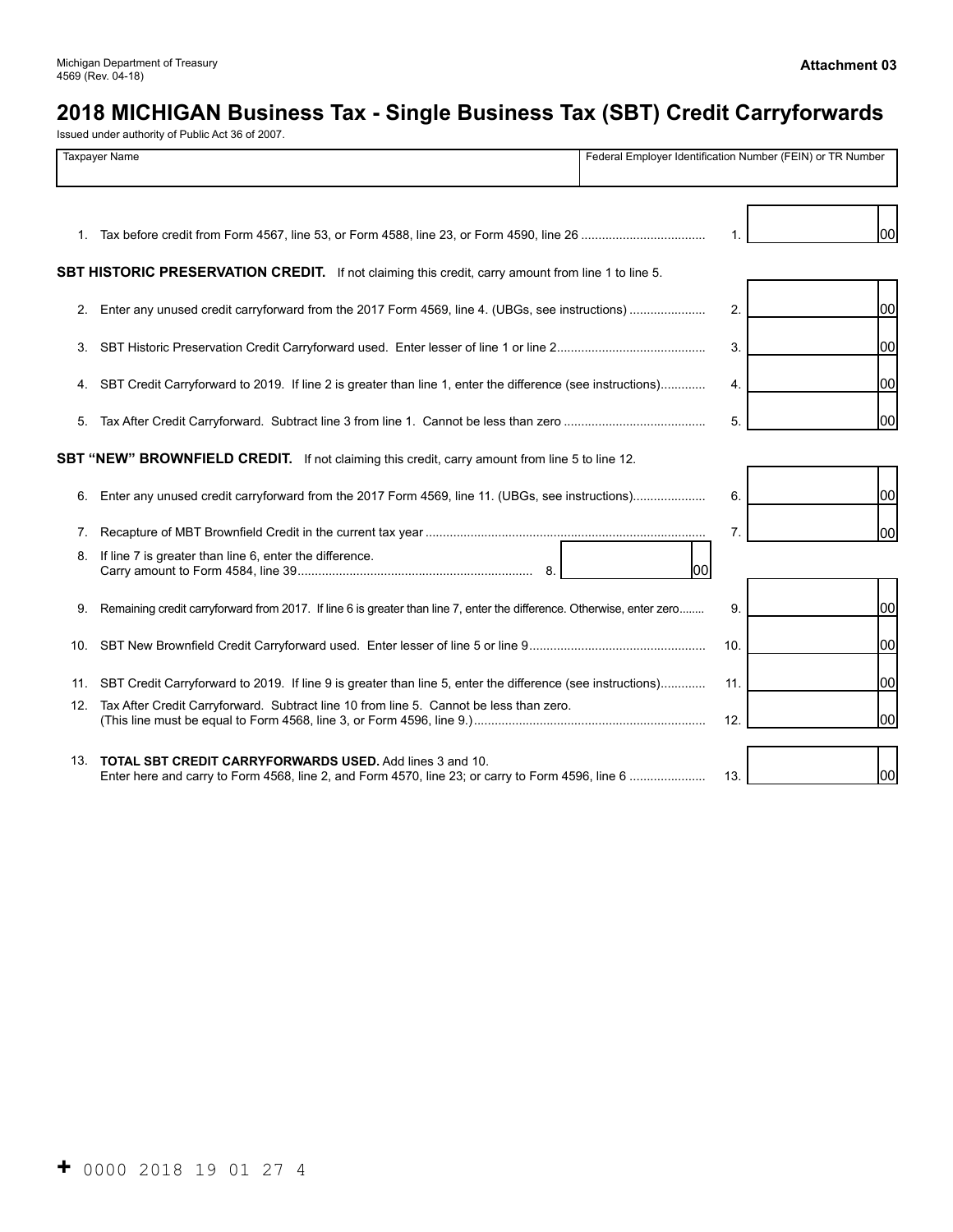# **2018 MICHIGAN Business Tax - Single Business Tax (SBT) Credit Carryforwards**

Issued under authority of Public Act 36 of 2007.

| <b>Taxpayer Name</b> |                                                                                                                                                                     |      | Federal Employer Identification Number (FEIN) or TR Number |     |  |
|----------------------|---------------------------------------------------------------------------------------------------------------------------------------------------------------------|------|------------------------------------------------------------|-----|--|
|                      |                                                                                                                                                                     |      |                                                            | 100 |  |
|                      | SBT HISTORIC PRESERVATION CREDIT. If not claiming this credit, carry amount from line 1 to line 5.                                                                  |      |                                                            |     |  |
|                      | 2. Enter any unused credit carryforward from the 2017 Form 4569, line 4. (UBGs, see instructions)                                                                   |      | 2.                                                         | 00  |  |
| 3.                   |                                                                                                                                                                     |      | 3.                                                         | 00  |  |
| 4.                   | SBT Credit Carryforward to 2019. If line 2 is greater than line 1, enter the difference (see instructions)                                                          |      | 4.                                                         | 100 |  |
| 5.                   |                                                                                                                                                                     |      | 5.                                                         | 00  |  |
|                      | SBT "NEW" BROWNFIELD CREDIT. If not claiming this credit, carry amount from line 5 to line 12.                                                                      |      |                                                            |     |  |
| 6.                   | Enter any unused credit carryforward from the 2017 Form 4569, line 11. (UBGs, see instructions)                                                                     |      | 6.                                                         | 100 |  |
| 7.                   |                                                                                                                                                                     |      | 7.                                                         | 00  |  |
| 8.                   | If line 7 is greater than line 6, enter the difference.<br>8.                                                                                                       | lool |                                                            |     |  |
| 9.                   | Remaining credit carryforward from 2017. If line 6 is greater than line 7, enter the difference. Otherwise, enter zero                                              |      | 9.                                                         | 00  |  |
| 10.                  |                                                                                                                                                                     |      | 10.                                                        | 100 |  |
| 11.                  | SBT Credit Carryforward to 2019. If line 9 is greater than line 5, enter the difference (see instructions)                                                          |      | 11.                                                        | 100 |  |
| 12.                  | Tax After Credit Carryforward. Subtract line 10 from line 5. Cannot be less than zero.                                                                              |      | 12.                                                        | 00  |  |
| 13.                  | <b>TOTAL SBT CREDIT CARRYFORWARDS USED.</b> Add lines 3 and 10.<br>Enter here and carry to Form 4568, line 2, and Form 4570, line 23; or carry to Form 4596, line 6 |      | 13.                                                        | 00  |  |